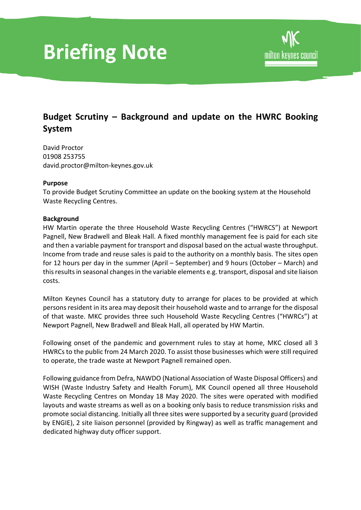# **Briefing Note**

## **Budget Scrutiny – Background and update on the HWRC Booking System**

David Proctor 01908 253755 david.proctor@milton-keynes.gov.uk

#### **Purpose**

To provide Budget Scrutiny Committee an update on the booking system at the Household Waste Recycling Centres.

#### **Background**

HW Martin operate the three Household Waste Recycling Centres ("HWRCS") at Newport Pagnell, New Bradwell and Bleak Hall. A fixed monthly management fee is paid for each site and then a variable payment for transport and disposal based on the actual waste throughput. Income from trade and reuse sales is paid to the authority on a monthly basis. The sites open for 12 hours per day in the summer (April – September) and 9 hours (October – March) and this results in seasonal changes in the variable elements e.g. transport, disposal and site liaison costs.

Milton Keynes Council has a statutory duty to arrange for places to be provided at which persons resident in its area may deposit their household waste and to arrange for the disposal of that waste. MKC provides three such Household Waste Recycling Centres ("HWRCs") at Newport Pagnell, New Bradwell and Bleak Hall, all operated by HW Martin.

Following onset of the pandemic and government rules to stay at home, MKC closed all 3 HWRCs to the public from 24 March 2020. To assist those businesses which were still required to operate, the trade waste at Newport Pagnell remained open.

Following guidance from Defra, NAWDO (National Association of Waste Disposal Officers) and WISH (Waste Industry Safety and Health Forum), MK Council opened all three Household Waste Recycling Centres on Monday 18 May 2020. The sites were operated with modified layouts and waste streams as well as on a booking only basis to reduce transmission risks and promote social distancing. Initially all three sites were supported by a security guard (provided by ENGIE), 2 site liaison personnel (provided by Ringway) as well as traffic management and dedicated highway duty officer support.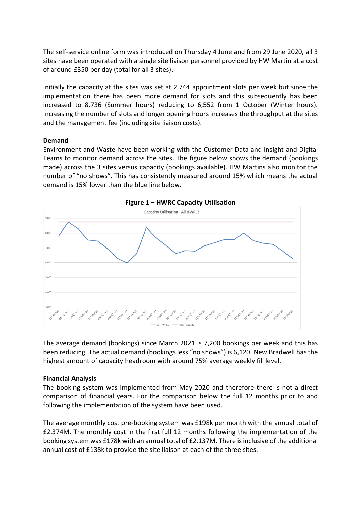The self-service online form was introduced on Thursday 4 June and from 29 June 2020, all 3 sites have been operated with a single site liaison personnel provided by HW Martin at a cost of around £350 per day (total for all 3 sites).

Initially the capacity at the sites was set at 2,744 appointment slots per week but since the implementation there has been more demand for slots and this subsequently has been increased to 8,736 (Summer hours) reducing to 6,552 from 1 October (Winter hours). Increasing the number of slots and longer opening hours increases the throughput at the sites and the management fee (including site liaison costs).

#### **Demand**

Environment and Waste have been working with the Customer Data and Insight and Digital Teams to monitor demand across the sites. The figure below shows the demand (bookings made) across the 3 sites versus capacity (bookings available). HW Martins also monitor the number of "no shows". This has consistently measured around 15% which means the actual demand is 15% lower than the blue line below.



The average demand (bookings) since March 2021 is 7,200 bookings per week and this has been reducing. The actual demand (bookings less "no shows") is 6,120. New Bradwell has the highest amount of capacity headroom with around 75% average weekly fill level.

### **Financial Analysis**

The booking system was implemented from May 2020 and therefore there is not a direct comparison of financial years. For the comparison below the full 12 months prior to and following the implementation of the system have been used.

The average monthly cost pre-booking system was £198k per month with the annual total of £2.374M. The monthly cost in the first full 12 months following the implementation of the booking system was £178k with an annual total of £2.137M. There is inclusive of the additional annual cost of £138k to provide the site liaison at each of the three sites.